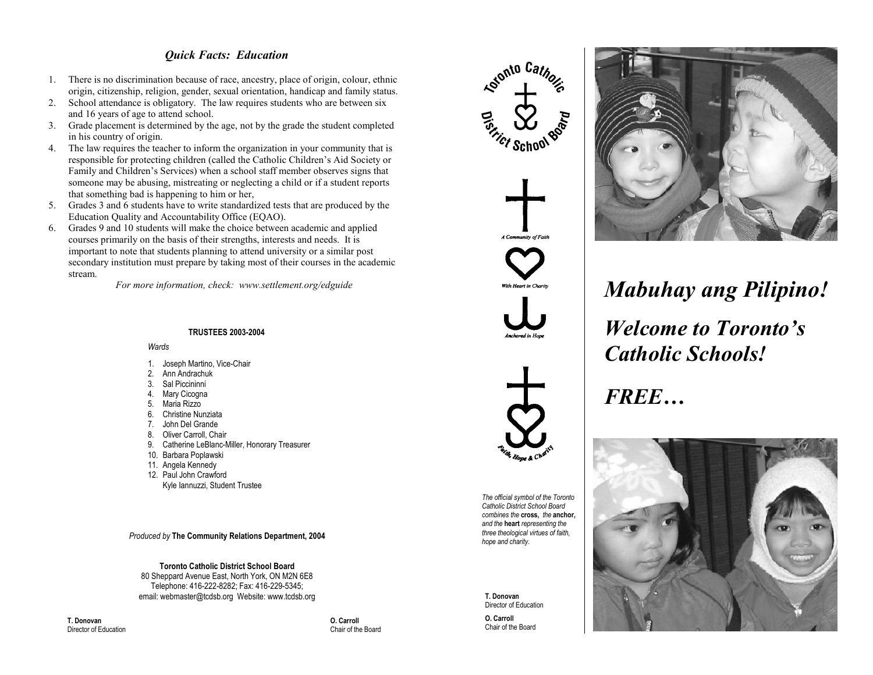## *Quick Facts: Education*

- 1. There is no discrimination because of race, ancestry, place of origin, colour, ethnic origin, citizenship, religion, gender, sexual orientation, handicap and family status.
- 2. School attendance is obligatory. The law requires students who are between six and 16 years of age to attend school.
- 3. Grade placement is determined by the age, not by the grade the student completed in his country of origin.
- 4. The law requires the teacher to inform the organization in your community that is responsible for protecting children (called the Catholic Children's Aid Society or Family and Children's Services) when <sup>a</sup> school staff member observes signs that someone may be abusing, mistreating or neglecting <sup>a</sup> child or if <sup>a</sup> student reports that something bad is happening to him or her,
- 5. Grades 3 and 6 students have to write standardized tests that are produced by the Education Quality and Accountability Office (EQAO).
- 6. Grades 9 and 10 students will make the choice between academic and applied courses primarily on the basis of their strengths, interests and needs. It is important to note that students planning to attend university or <sup>a</sup> similar pos<sup>t</sup> secondary institution must prepare by taking most of their courses in the academic stream.

*For more information, check: www.settlement.org/edguide*

## **TRUSTEES 2003-2004**

*Wards*

- 1. Joseph Martino, Vice-Chair
- 2. Ann Andrachuk
- 3. Sal Piccininni
- 4. Mary Cicogna
- 5.Maria Rizzo
- 6.Christine Nunziata
- 7.John Del Grande
- 8. Oliver Carroll, Chair
- 9. Catherine LeBlanc-Miller, Honorary Treasurer
- 10. Barbara Poplawski
- 11. Angela Kennedy
- 12. Paul John Crawford
- Kyle Iannuzzi, Student Trustee

*Produced by* **The Community Relations Department, 2004**

**Toronto Catholic District School Board**

80 Sheppard Avenue East, North York, ON M2N 6E8 Telephone: 416-222-8282; Fax: 416-229-5345; email: webmaster@tcdsb.org Website: www.tcdsb.org

**T. Donovan**Director of Education  **O. Carroll** Chair of the Board





**T. Donovan**Director of Education

**O. Carroll** Chair of the Board



*Mabuhay ang Pilipino! Welcome to Toronto's Catholic Schools!*